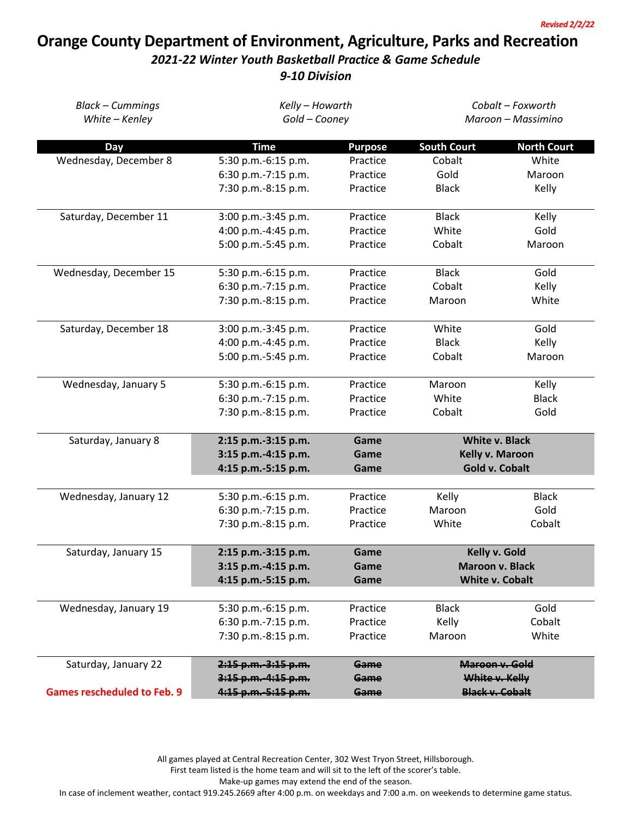## **Orange County Department of Environment, Agriculture, Parks and Recreation**

## *2021-22 Winter Youth Basketball Practice & Game Schedule*

*9-10 Division*

| <b>Black - Cummings</b>            | Kelly - Howarth       |                | Cobalt - Foxworth      |                    |  |
|------------------------------------|-----------------------|----------------|------------------------|--------------------|--|
| White - Kenley                     | Gold - Cooney         |                | Maroon - Massimino     |                    |  |
| Day                                | <b>Time</b>           | <b>Purpose</b> | <b>South Court</b>     | <b>North Court</b> |  |
| Wednesday, December 8              | 5:30 p.m.-6:15 p.m.   | Practice       | Cobalt                 | White              |  |
|                                    | 6:30 p.m.-7:15 p.m.   | Practice       | Gold                   | Maroon             |  |
|                                    | 7:30 p.m.-8:15 p.m.   | Practice       | <b>Black</b>           | Kelly              |  |
| Saturday, December 11              | 3:00 p.m.-3:45 p.m.   | Practice       | <b>Black</b>           | Kelly              |  |
|                                    | 4:00 p.m.-4:45 p.m.   | Practice       | White                  | Gold               |  |
|                                    | 5:00 p.m.-5:45 p.m.   | Practice       | Cobalt                 | Maroon             |  |
| Wednesday, December 15             | 5:30 p.m.-6:15 p.m.   | Practice       | <b>Black</b>           | Gold               |  |
|                                    | 6:30 p.m.-7:15 p.m.   | Practice       | Cobalt                 | Kelly              |  |
|                                    | 7:30 p.m.-8:15 p.m.   | Practice       | Maroon                 | White              |  |
| Saturday, December 18              | 3:00 p.m.-3:45 p.m.   | Practice       | White                  | Gold               |  |
|                                    | 4:00 p.m.-4:45 p.m.   | Practice       | <b>Black</b>           | Kelly              |  |
|                                    | 5:00 p.m.-5:45 p.m.   | Practice       | Cobalt                 | Maroon             |  |
| Wednesday, January 5               | 5:30 p.m.-6:15 p.m.   | Practice       | Maroon                 | Kelly              |  |
|                                    | 6:30 p.m.-7:15 p.m.   | Practice       | White                  | <b>Black</b>       |  |
|                                    | 7:30 p.m.-8:15 p.m.   | Practice       | Cobalt                 | Gold               |  |
| Saturday, January 8                | 2:15 p.m.-3:15 p.m.   | Game           | <b>White v. Black</b>  |                    |  |
|                                    | 3:15 p.m.-4:15 p.m.   | Game           | Kelly v. Maroon        |                    |  |
|                                    | 4:15 p.m.-5:15 p.m.   | Game           | <b>Gold v. Cobalt</b>  |                    |  |
| Wednesday, January 12              | 5:30 p.m.-6:15 p.m.   | Practice       | Kelly                  | <b>Black</b>       |  |
|                                    | 6:30 p.m.-7:15 p.m.   | Practice       | Maroon                 | Gold               |  |
|                                    | 7:30 p.m.-8:15 p.m.   | Practice       | White                  | Cobalt             |  |
| Saturday, January 15               | 2:15 p.m.-3:15 p.m.   | Game           | Kelly v. Gold          |                    |  |
|                                    | 3:15 p.m.-4:15 p.m.   | Game           | <b>Maroon v. Black</b> |                    |  |
|                                    | 4:15 p.m.-5:15 p.m.   | Game           | <b>White v. Cobalt</b> |                    |  |
| Wednesday, January 19              | 5:30 p.m.-6:15 p.m.   | Practice       | <b>Black</b>           | Gold               |  |
|                                    | 6:30 p.m.-7:15 p.m.   | Practice       | Kelly                  | Cobalt             |  |
|                                    | 7:30 p.m.-8:15 p.m.   | Practice       | Maroon                 | White              |  |
| Saturday, January 22               | $2:15$ p.m.-3:15 p.m. | Game           |                        | Maroon v. Gold     |  |
|                                    | $3:15$ p.m.-4:15 p.m. | Game           | White v. Kelly         |                    |  |
| <b>Games rescheduled to Feb. 9</b> | 4:15 p.m. 5:15 p.m.   | Game           | <b>Black v. Cobalt</b> |                    |  |

All games played at Central Recreation Center, 302 West Tryon Street, Hillsborough.

First team listed is the home team and will sit to the left of the scorer's table.

Make-up games may extend the end of the season.

In case of inclement weather, contact 919.245.2669 after 4:00 p.m. on weekdays and 7:00 a.m. on weekends to determine game status.